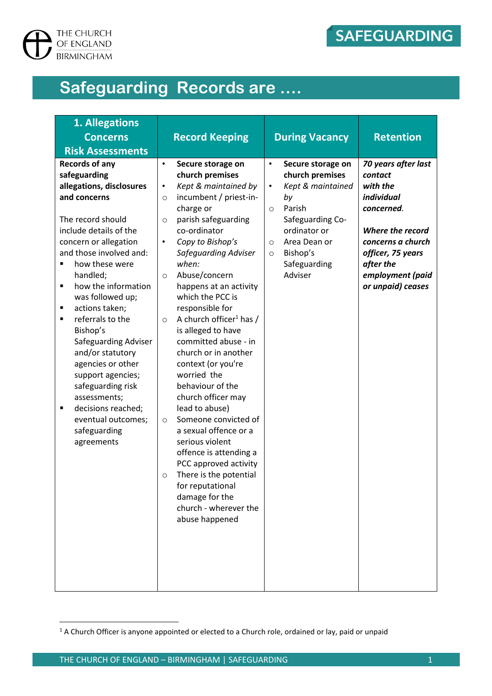

# **Safeguarding Records are ….**

| 1. Allegations<br><b>Concerns</b>                                                                                                                                                                                                                                                                                                                                                                                                                                                                                                                          | <b>Record Keeping</b>                                                                                                                                                                                                                                                                                                                                                                                                                                                                                                                                                                                                                                                                                                                                                                                                              | <b>During Vacancy</b>                                                                                                                                                                                              | <b>Retention</b>                                                                                                                                                                           |
|------------------------------------------------------------------------------------------------------------------------------------------------------------------------------------------------------------------------------------------------------------------------------------------------------------------------------------------------------------------------------------------------------------------------------------------------------------------------------------------------------------------------------------------------------------|------------------------------------------------------------------------------------------------------------------------------------------------------------------------------------------------------------------------------------------------------------------------------------------------------------------------------------------------------------------------------------------------------------------------------------------------------------------------------------------------------------------------------------------------------------------------------------------------------------------------------------------------------------------------------------------------------------------------------------------------------------------------------------------------------------------------------------|--------------------------------------------------------------------------------------------------------------------------------------------------------------------------------------------------------------------|--------------------------------------------------------------------------------------------------------------------------------------------------------------------------------------------|
| <b>Risk Assessments</b>                                                                                                                                                                                                                                                                                                                                                                                                                                                                                                                                    |                                                                                                                                                                                                                                                                                                                                                                                                                                                                                                                                                                                                                                                                                                                                                                                                                                    |                                                                                                                                                                                                                    |                                                                                                                                                                                            |
| <b>Records of any</b><br>safeguarding<br>allegations, disclosures<br>and concerns<br>The record should<br>include details of the<br>concern or allegation<br>and those involved and:<br>how these were<br>п<br>handled;<br>how the information<br>٠<br>was followed up;<br>actions taken;<br>٠<br>referrals to the<br>$\blacksquare$<br>Bishop's<br>Safeguarding Adviser<br>and/or statutory<br>agencies or other<br>support agencies;<br>safeguarding risk<br>assessments;<br>decisions reached;<br>п<br>eventual outcomes;<br>safeguarding<br>agreements | $\bullet$<br>Secure storage on<br>church premises<br>Kept & maintained by<br>٠<br>incumbent / priest-in-<br>$\circ$<br>charge or<br>parish safeguarding<br>$\circ$<br>co-ordinator<br>Copy to Bishop's<br>$\bullet$<br>Safeguarding Adviser<br>when:<br>Abuse/concern<br>$\circ$<br>happens at an activity<br>which the PCC is<br>responsible for<br>A church officer <sup>1</sup> has /<br>$\circ$<br>is alleged to have<br>committed abuse - in<br>church or in another<br>context (or you're<br>worried the<br>behaviour of the<br>church officer may<br>lead to abuse)<br>Someone convicted of<br>$\circ$<br>a sexual offence or a<br>serious violent<br>offence is attending a<br>PCC approved activity<br>There is the potential<br>$\circ$<br>for reputational<br>damage for the<br>church - wherever the<br>abuse happened | Secure storage on<br>church premises<br>Kept & maintained<br>$\bullet$<br>by<br>Parish<br>$\circ$<br>Safeguarding Co-<br>ordinator or<br>Area Dean or<br>$\circ$<br>Bishop's<br>$\circ$<br>Safeguarding<br>Adviser | 70 years after last<br>contact<br>with the<br>individual<br>concerned.<br>Where the record<br>concerns a church<br>officer, 75 years<br>after the<br>employment (paid<br>or unpaid) ceases |

 $\overline{a}$ 

<sup>&</sup>lt;sup>1</sup> A Church Officer is anyone appointed or elected to a Church role, ordained or lay, paid or unpaid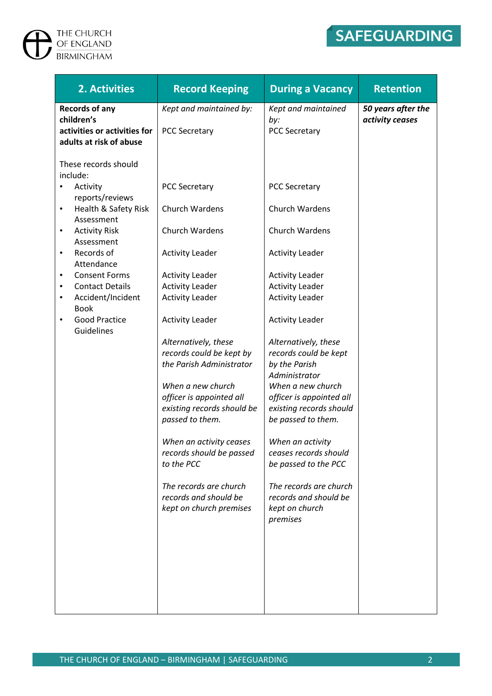# $\sum$  THE CHURCH OF ENGLAND

## SAFEGUARDING

| 2. Activities                                                            | <b>Record Keeping</b>                                                        | <b>During a Vacancy</b>                                                         | <b>Retention</b>                      |
|--------------------------------------------------------------------------|------------------------------------------------------------------------------|---------------------------------------------------------------------------------|---------------------------------------|
| <b>Records of any</b><br>children's                                      | Kept and maintained by:                                                      | Kept and maintained<br>by:                                                      | 50 years after the<br>activity ceases |
| activities or activities for<br>adults at risk of abuse                  | <b>PCC Secretary</b>                                                         | <b>PCC Secretary</b>                                                            |                                       |
| These records should<br>include:                                         |                                                                              |                                                                                 |                                       |
| Activity<br>reports/reviews                                              | <b>PCC Secretary</b>                                                         | <b>PCC Secretary</b>                                                            |                                       |
| Health & Safety Risk<br>٠<br>Assessment                                  | Church Wardens                                                               | Church Wardens                                                                  |                                       |
| <b>Activity Risk</b><br>$\bullet$<br>Assessment                          | Church Wardens                                                               | Church Wardens                                                                  |                                       |
| Records of<br>$\bullet$<br>Attendance                                    | <b>Activity Leader</b>                                                       | <b>Activity Leader</b>                                                          |                                       |
| <b>Consent Forms</b><br>$\bullet$<br><b>Contact Details</b><br>$\bullet$ | <b>Activity Leader</b><br><b>Activity Leader</b>                             | <b>Activity Leader</b><br><b>Activity Leader</b>                                |                                       |
| Accident/Incident<br>٠<br><b>Book</b>                                    | <b>Activity Leader</b>                                                       | <b>Activity Leader</b>                                                          |                                       |
| <b>Good Practice</b><br>٠<br>Guidelines                                  | <b>Activity Leader</b>                                                       | <b>Activity Leader</b>                                                          |                                       |
|                                                                          | Alternatively, these<br>records could be kept by<br>the Parish Administrator | Alternatively, these<br>records could be kept<br>by the Parish<br>Administrator |                                       |
|                                                                          | When a new church<br>officer is appointed all<br>existing records should be  | When a new church<br>officer is appointed all<br>existing records should        |                                       |
|                                                                          | passed to them.                                                              | be passed to them.                                                              |                                       |
|                                                                          | When an activity ceases<br>records should be passed<br>to the PCC            | When an activity<br>ceases records should<br>be passed to the PCC               |                                       |
|                                                                          | The records are church<br>records and should be<br>kept on church premises   | The records are church<br>records and should be<br>kept on church               |                                       |
|                                                                          |                                                                              | premises                                                                        |                                       |
|                                                                          |                                                                              |                                                                                 |                                       |
|                                                                          |                                                                              |                                                                                 |                                       |
|                                                                          |                                                                              |                                                                                 |                                       |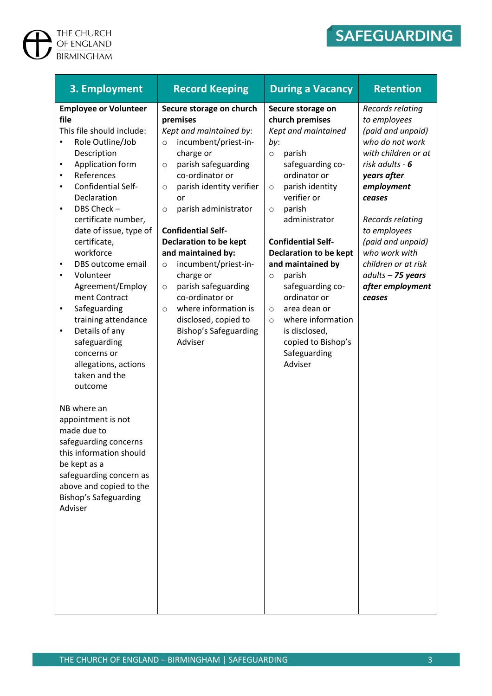### THE CHURCH<br>GF ENGLAND<br>BIRMINGHAM  $\overline{\mathbf{P}}$

# SAFEGUARDING

| 3. Employment                                                                                                                                                                                                                                                                                                                                                                                                                                                                                                                                                                                                                                                                                                                                                                          | <b>Record Keeping</b>                                                                                                                                                                                                                                                                                                                                                                                                                                                                                                                               | <b>During a Vacancy</b>                                                                                                                                                                                                                                                                                                                                                                                                                                                                 | <b>Retention</b>                                                                                                                                                                                                                                                                                                |
|----------------------------------------------------------------------------------------------------------------------------------------------------------------------------------------------------------------------------------------------------------------------------------------------------------------------------------------------------------------------------------------------------------------------------------------------------------------------------------------------------------------------------------------------------------------------------------------------------------------------------------------------------------------------------------------------------------------------------------------------------------------------------------------|-----------------------------------------------------------------------------------------------------------------------------------------------------------------------------------------------------------------------------------------------------------------------------------------------------------------------------------------------------------------------------------------------------------------------------------------------------------------------------------------------------------------------------------------------------|-----------------------------------------------------------------------------------------------------------------------------------------------------------------------------------------------------------------------------------------------------------------------------------------------------------------------------------------------------------------------------------------------------------------------------------------------------------------------------------------|-----------------------------------------------------------------------------------------------------------------------------------------------------------------------------------------------------------------------------------------------------------------------------------------------------------------|
| <b>Employee or Volunteer</b><br>file<br>This file should include:<br>Role Outline/Job<br>Description<br>Application form<br>$\bullet$<br>References<br>٠<br>Confidential Self-<br>$\bullet$<br>Declaration<br>DBS Check-<br>٠<br>certificate number,<br>date of issue, type of<br>certificate,<br>workforce<br>DBS outcome email<br>٠<br>Volunteer<br>Agreement/Employ<br>ment Contract<br>Safeguarding<br>$\bullet$<br>training attendance<br>Details of any<br>$\bullet$<br>safeguarding<br>concerns or<br>allegations, actions<br>taken and the<br>outcome<br>NB where an<br>appointment is not<br>made due to<br>safeguarding concerns<br>this information should<br>be kept as a<br>safeguarding concern as<br>above and copied to the<br><b>Bishop's Safeguarding</b><br>Adviser | Secure storage on church<br>premises<br>Kept and maintained by:<br>incumbent/priest-in-<br>$\circ$<br>charge or<br>parish safeguarding<br>$\circ$<br>co-ordinator or<br>parish identity verifier<br>$\circ$<br>or<br>parish administrator<br>$\circ$<br><b>Confidential Self-</b><br><b>Declaration to be kept</b><br>and maintained by:<br>incumbent/priest-in-<br>$\circ$<br>charge or<br>parish safeguarding<br>$\circ$<br>co-ordinator or<br>where information is<br>$\circ$<br>disclosed, copied to<br><b>Bishop's Safeguarding</b><br>Adviser | Secure storage on<br>church premises<br>Kept and maintained<br>by:<br>parish<br>$\circ$<br>safeguarding co-<br>ordinator or<br>parish identity<br>$\circ$<br>verifier or<br>parish<br>$\circ$<br>administrator<br><b>Confidential Self-</b><br><b>Declaration to be kept</b><br>and maintained by<br>parish<br>$\circ$<br>safeguarding co-<br>ordinator or<br>area dean or<br>$\circ$<br>where information<br>$\circ$<br>is disclosed,<br>copied to Bishop's<br>Safeguarding<br>Adviser | Records relating<br>to employees<br>(paid and unpaid)<br>who do not work<br>with children or at<br>risk adults - 6<br>years after<br>employment<br>ceases<br>Records relating<br>to employees<br>(paid and unpaid)<br>who work with<br>children or at risk<br>$adults - 75 years$<br>after employment<br>ceases |